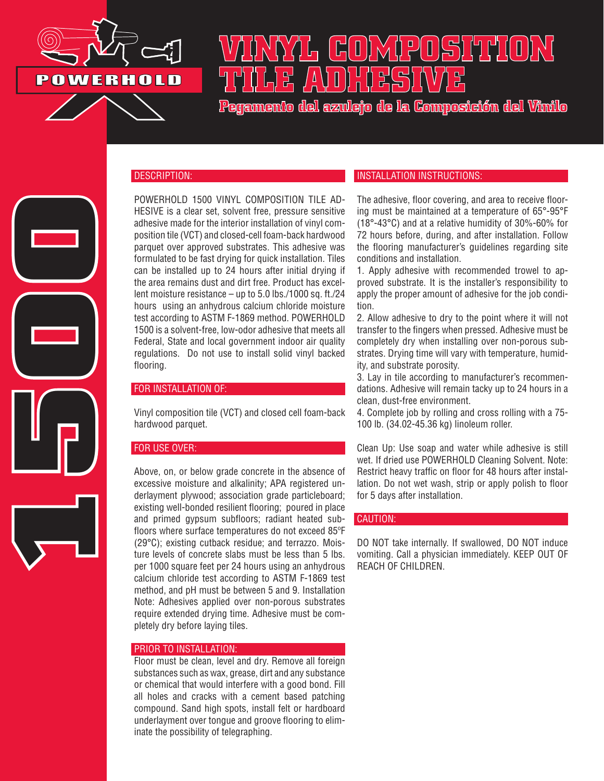

**1500**

# **VINYL COMPOSITION TILE ADHESIVE**

**Pegamento del azulejo de la Composición del Vinilo**

### DESCRIPTION:

POWERHOLD 1500 VINYL COMPOSITION TILE AD-HESIVE is a clear set, solvent free, pressure sensitive adhesive made for the interior installation of vinyl composition tile (VCT) and closed-cell foam-back hardwood parquet over approved substrates. This adhesive was formulated to be fast drying for quick installation. Tiles can be installed up to 24 hours after initial drying if the area remains dust and dirt free. Product has excellent moisture resistance – up to 5.0 lbs./1000 sq. ft./24 hours using an anhydrous calcium chloride moisture test according to ASTM F-1869 method. POWERHOLD 1500 is a solvent-free, low-odor adhesive that meets all Federal, State and local government indoor air quality regulations. Do not use to install solid vinyl backed flooring.

### FOR INSTALLATION OF:

Vinyl composition tile (VCT) and closed cell foam-back hardwood parquet.

# FOR USE OVER:

Above, on, or below grade concrete in the absence of excessive moisture and alkalinity; APA registered underlayment plywood; association grade particleboard; existing well-bonded resilient flooring; poured in place and primed gypsum subfloors; radiant heated subfloors where surface temperatures do not exceed 85ºF (29°C); existing cutback residue; and terrazzo. Moisture levels of concrete slabs must be less than 5 lbs. per 1000 square feet per 24 hours using an anhydrous calcium chloride test according to ASTM F-1869 test method, and pH must be between 5 and 9. Installation Note: Adhesives applied over non-porous substrates require extended drying time. Adhesive must be completely dry before laying tiles.

#### PRIOR TO INSTALLATION:

Floor must be clean, level and dry. Remove all foreign substances such as wax, grease, dirt and any substance or chemical that would interfere with a good bond. Fill all holes and cracks with a cement based patching compound. Sand high spots, install felt or hardboard underlayment over tongue and groove flooring to eliminate the possibility of telegraphing.

# INSTALLATION INSTRUCTIONS:

The adhesive, floor covering, and area to receive flooring must be maintained at a temperature of 65°-95°F (18°-43°C) and at a relative humidity of 30%-60% for 72 hours before, during, and after installation. Follow the flooring manufacturer's guidelines regarding site conditions and installation.

1. Apply adhesive with recommended trowel to approved substrate. It is the installer's responsibility to apply the proper amount of adhesive for the job condition.

2. Allow adhesive to dry to the point where it will not transfer to the fingers when pressed. Adhesive must be completely dry when installing over non-porous substrates. Drying time will vary with temperature, humidity, and substrate porosity.

3. Lay in tile according to manufacturer's recommendations. Adhesive will remain tacky up to 24 hours in a clean, dust-free environment.

4. Complete job by rolling and cross rolling with a 75- 100 lb. (34.02-45.36 kg) linoleum roller.

Clean Up: Use soap and water while adhesive is still wet. If dried use POWERHOLD Cleaning Solvent. Note: Restrict heavy traffic on floor for 48 hours after installation. Do not wet wash, strip or apply polish to floor for 5 days after installation.

### CAUTION:

DO NOT take internally. If swallowed, DO NOT induce vomiting. Call a physician immediately. KEEP OUT OF REACH OF CHILDREN.